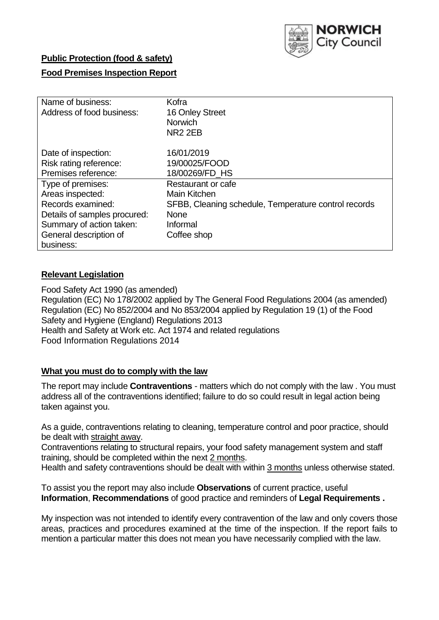

# **Public Protection (food & safety)**

# **Food Premises Inspection Report**

| Name of business:            | Kofra                                                |
|------------------------------|------------------------------------------------------|
| Address of food business:    | 16 Onley Street                                      |
|                              | <b>Norwich</b>                                       |
|                              | NR <sub>2</sub> 2EB                                  |
| Date of inspection:          | 16/01/2019                                           |
| Risk rating reference:       | 19/00025/FOOD                                        |
| Premises reference:          | 18/00269/FD HS                                       |
| Type of premises:            | Restaurant or cafe                                   |
| Areas inspected:             | Main Kitchen                                         |
| Records examined:            | SFBB, Cleaning schedule, Temperature control records |
| Details of samples procured: | <b>None</b>                                          |
| Summary of action taken:     | Informal                                             |
| General description of       | Coffee shop                                          |
| business:                    |                                                      |

# **Relevant Legislation**

Food Safety Act 1990 (as amended) Regulation (EC) No 178/2002 applied by The General Food Regulations 2004 (as amended) Regulation (EC) No 852/2004 and No 853/2004 applied by Regulation 19 (1) of the Food Safety and Hygiene (England) Regulations 2013 Health and Safety at Work etc. Act 1974 and related regulations Food Information Regulations 2014

## **What you must do to comply with the law**

The report may include **Contraventions** - matters which do not comply with the law . You must address all of the contraventions identified; failure to do so could result in legal action being taken against you.

As a guide, contraventions relating to cleaning, temperature control and poor practice, should be dealt with straight away.

Contraventions relating to structural repairs, your food safety management system and staff training, should be completed within the next 2 months.

Health and safety contraventions should be dealt with within 3 months unless otherwise stated.

To assist you the report may also include **Observations** of current practice, useful **Information**, **Recommendations** of good practice and reminders of **Legal Requirements .**

My inspection was not intended to identify every contravention of the law and only covers those areas, practices and procedures examined at the time of the inspection. If the report fails to mention a particular matter this does not mean you have necessarily complied with the law.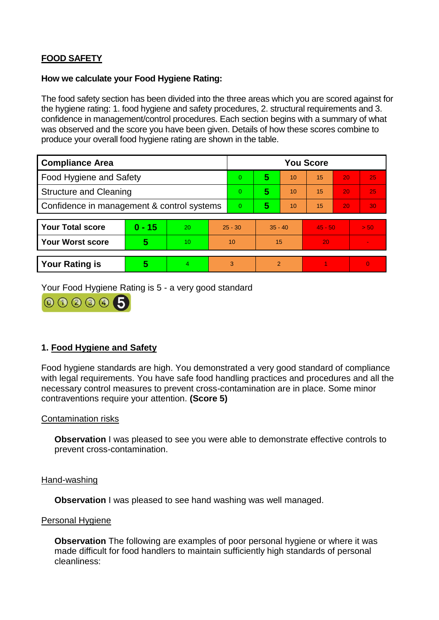# **FOOD SAFETY**

## **How we calculate your Food Hygiene Rating:**

The food safety section has been divided into the three areas which you are scored against for the hygiene rating: 1. food hygiene and safety procedures, 2. structural requirements and 3. confidence in management/control procedures. Each section begins with a summary of what was observed and the score you have been given. Details of how these scores combine to produce your overall food hygiene rating are shown in the table.

| <b>Compliance Area</b>                     |          |    |                | <b>You Score</b> |                |    |           |    |                |  |  |
|--------------------------------------------|----------|----|----------------|------------------|----------------|----|-----------|----|----------------|--|--|
| Food Hygiene and Safety                    |          |    |                | $\Omega$         | 5              | 10 | 15        | 20 | 25             |  |  |
| <b>Structure and Cleaning</b>              |          |    | $\overline{0}$ | 5                | 10             | 15 | 20        | 25 |                |  |  |
| Confidence in management & control systems |          |    | $\Omega$       | 5                | 10             | 15 | 20        | 30 |                |  |  |
|                                            |          |    |                |                  |                |    |           |    |                |  |  |
| <b>Your Total score</b>                    | $0 - 15$ | 20 | $25 - 30$      |                  | $35 - 40$      |    | $45 - 50$ |    | > 50           |  |  |
| <b>Your Worst score</b>                    | 5        | 10 | 10             |                  | 15             |    | 20        |    | $\blacksquare$ |  |  |
|                                            |          |    |                |                  |                |    |           |    |                |  |  |
| <b>Your Rating is</b>                      | 5        | 4  | 3              |                  | $\overline{2}$ |    |           |    | $\Omega$       |  |  |

Your Food Hygiene Rating is 5 - a very good standard



# **1. Food Hygiene and Safety**

Food hygiene standards are high. You demonstrated a very good standard of compliance with legal requirements. You have safe food handling practices and procedures and all the necessary control measures to prevent cross-contamination are in place. Some minor contraventions require your attention. **(Score 5)**

## Contamination risks

**Observation** I was pleased to see you were able to demonstrate effective controls to prevent cross-contamination.

### Hand-washing

**Observation** I was pleased to see hand washing was well managed.

### Personal Hygiene

**Observation** The following are examples of poor personal hygiene or where it was made difficult for food handlers to maintain sufficiently high standards of personal cleanliness: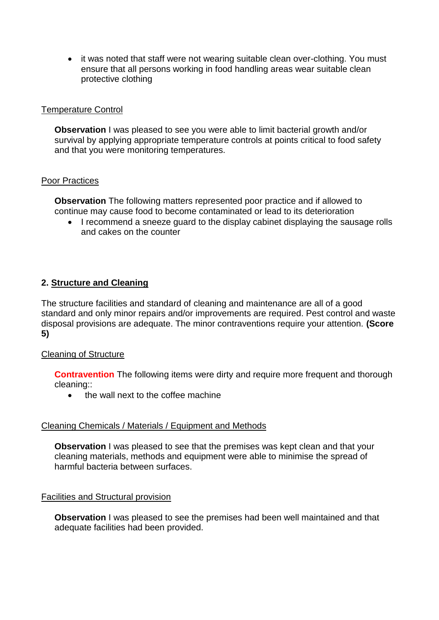• it was noted that staff were not wearing suitable clean over-clothing. You must ensure that all persons working in food handling areas wear suitable clean protective clothing

## Temperature Control

**Observation** I was pleased to see you were able to limit bacterial growth and/or survival by applying appropriate temperature controls at points critical to food safety and that you were monitoring temperatures.

### Poor Practices

**Observation** The following matters represented poor practice and if allowed to continue may cause food to become contaminated or lead to its deterioration

• I recommend a sneeze guard to the display cabinet displaying the sausage rolls and cakes on the counter

## **2. Structure and Cleaning**

The structure facilities and standard of cleaning and maintenance are all of a good standard and only minor repairs and/or improvements are required. Pest control and waste disposal provisions are adequate. The minor contraventions require your attention. **(Score 5)**

### Cleaning of Structure

**Contravention** The following items were dirty and require more frequent and thorough cleaning::

• the wall next to the coffee machine

### Cleaning Chemicals / Materials / Equipment and Methods

**Observation** I was pleased to see that the premises was kept clean and that your cleaning materials, methods and equipment were able to minimise the spread of harmful bacteria between surfaces.

### Facilities and Structural provision

**Observation** I was pleased to see the premises had been well maintained and that adequate facilities had been provided.